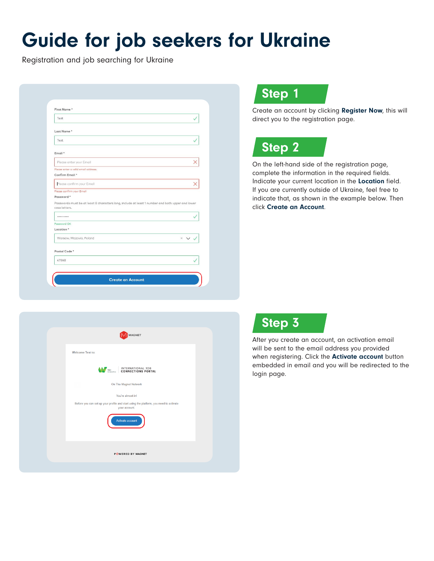# Guide for job seekers for Ukraine

Registration and job searching for Ukraine

| Test                                                                                                                            |                        |
|---------------------------------------------------------------------------------------------------------------------------------|------------------------|
| Last Name*                                                                                                                      |                        |
| Test                                                                                                                            |                        |
| Email *                                                                                                                         |                        |
| Please enter your Email                                                                                                         |                        |
| Please enter a valid email address.                                                                                             |                        |
| Confirm Email *                                                                                                                 |                        |
|                                                                                                                                 |                        |
| Please confirm your Email<br>Please confirm your Email                                                                          |                        |
| Password *<br>Passwords must be at least 8 characters long, include at least 1 number and both upper and lower<br>case letters. |                        |
|                                                                                                                                 |                        |
| Password OK                                                                                                                     |                        |
| Location <sup>*</sup>                                                                                                           |                        |
| Warsaw, Mazovia, Poland                                                                                                         | $\times$ $\vee$ $\vee$ |
| Postal Code *                                                                                                                   |                        |
| 47868                                                                                                                           |                        |

### Step 1

Create an account by clicking Register Now, this will direct you to the registration page.



On the left-hand side of the registration page, complete the information in the required fields. Indicate your current location in the Location field. If you are currently outside of Ukraine, feel free to indicate that, as shown in the example below. Then click Create an Account.





After you create an account, an activation email will be sent to the email address you provided when registering. Click the **Activate account** button embedded in email and you will be redirected to the login page.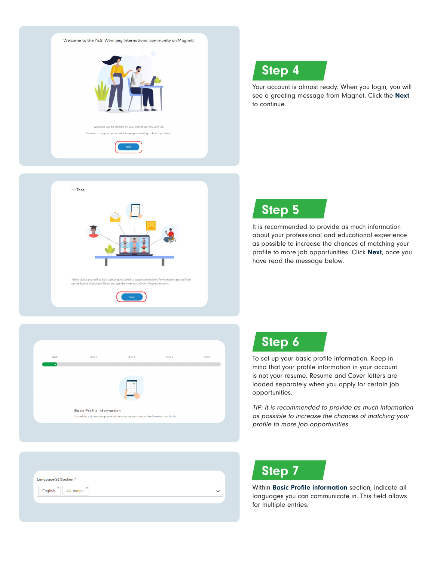

# Step 4

Your account is almost ready. When you login, you will see a greeting message from Magnet. Click the Next to continue.



# Step 5

It is recommended to provide as much information about your professional and educational experience as possible to increase the chances of matching your profile to more job opportunities. Click Next, once you have read the message below.

| Step 1<br>$\bullet$ | Step 2                                                                              | Step 3                                       | Step 4 | Step 5 |
|---------------------|-------------------------------------------------------------------------------------|----------------------------------------------|--------|--------|
|                     | <b>Basic Profile Information</b>                                                    | $-0$<br>$-\circ$<br>$\overline{\phantom{a}}$ |        |        |
|                     | You will be able to change and add to your answers in your Profile when you finish. |                                              |        |        |

| Language(s) Spoken *                                            |  |
|-----------------------------------------------------------------|--|
|                                                                 |  |
| $\pmb{\times}$<br>$\boldsymbol{\times}$<br>Ukrainian<br>English |  |



To set up your basic profile information. Keep in mind that your profile information in your account is not your resume. Resume and Cover letters are loaded separately when you apply for certain job opportunities.

TIP: It is recommended to provide as much information as possible to increase the chances of matching your profile to more job opportunities.

# Step 7

Within Basic Profile information section, indicate all languages you can communicate in. This field allows for multiple entries.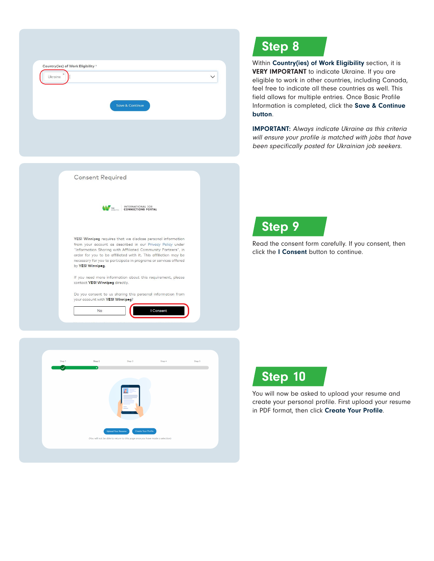| <b>Save &amp; Continue</b> |
|----------------------------|

### Step 8

Within Country(ies) of Work Eligibility section, it is VERY IMPORTANT to indicate Ukraine. If you are eligible to work in other countries, including Canada, feel free to indicate all these countries as well. This field allows for multiple entries. Once Basic Profile Information is completed, click the Save & Continue button.

IMPORTANT: Always indicate Ukraine as this criteria will ensure your profile is matched with jobs that have been specifically posted for Ukrainian job seekers.





Read the consent form carefully. If you consent, then click the I Consent button to continue.





You will now be asked to upload your resume and create your personal profile. First upload your resume in PDF format, then click Create Your Profile.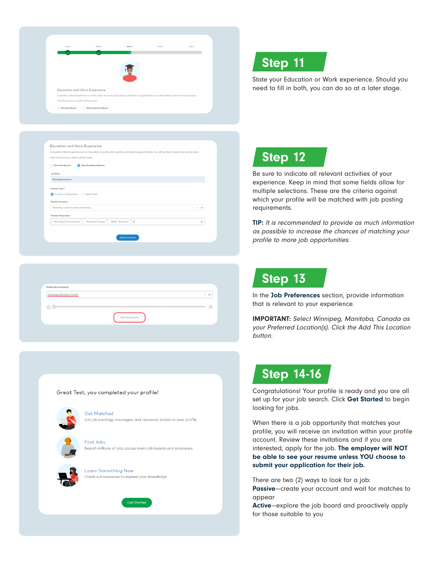| Step 1                        | Step 2       | Step 3                                                                                                                                   | Step 4 | Step 5 |
|-------------------------------|--------------|------------------------------------------------------------------------------------------------------------------------------------------|--------|--------|
|                               | $\checkmark$ | ٠                                                                                                                                        |        |        |
|                               |              |                                                                                                                                          |        |        |
|                               |              |                                                                                                                                          |        |        |
|                               |              |                                                                                                                                          |        |        |
|                               |              |                                                                                                                                          |        |        |
| Education and Work Experience |              | Complete a Work Experience or an Education record to start getting matched to opportunities. You will be able to add more records later. |        |        |

| Only the record you select will be saved.                     |                                                                |
|---------------------------------------------------------------|----------------------------------------------------------------|
| <b>Education Record</b>                                       | <b>Work Experience Record</b><br>Ω                             |
| Job Title *                                                   |                                                                |
| Marketing Assistant                                           |                                                                |
| Position Function *<br>Marketing, Communications, Advertising | ×<br>$\checkmark$                                              |
| Position Focus Area *                                         |                                                                |
|                                                               | Media - Broadcast<br>Marketing Strategy<br>- 1<br>$\checkmark$ |
| Marketing Communications                                      |                                                                |

| Preferred Location(s)      |                 |
|----------------------------|-----------------|
| Winnipeg, Manitoba, Canada | $\times$ $\vee$ |
|                            |                 |
| ไกไ                        |                 |
|                            |                 |

#### Great Test, you completed your profile!



**Get Matched** Get job postings, messages, and resources based on your profile

**Find Jobs** Search millions of jobs across many job boards and employers



**Learn Something New** Check out resources to expand your knowledge



### Step 11

State your Education or Work experience. Should you need to fill in both, you can do so at a later stage.



Be sure to indicate all relevant activities of your experience. Keep in mind that some fields allow for multiple selections. These are the criteria against which your profile will be matched with job posting requirements.

TIP: It is recommended to provide as much information as possible to increase the chances of matching your profile to more job opportunities.

#### Step 13

In the Job Preferences section, provide information that is relevant to your experience.

IMPORTANT: Select Winnipeg, Manitoba, Canada as your Preferred Location(s). Click the Add This Location button.

### Step 14-16

Congratulations! Your profile is ready and you are all set up for your job search. Click Get Started to begin looking for jobs.

When there is a job opportunity that matches your profile, you will receive an invitation within your profile account. Review these invitations and if you are interested, apply for the job. The employer will NOT be able to see your resume unless YOU choose to submit your application for their job.

There are two (2) ways to look for a job:

Passive—create your account and wait for matches to appear

Active—explore the job board and proactively apply for those suitable to you